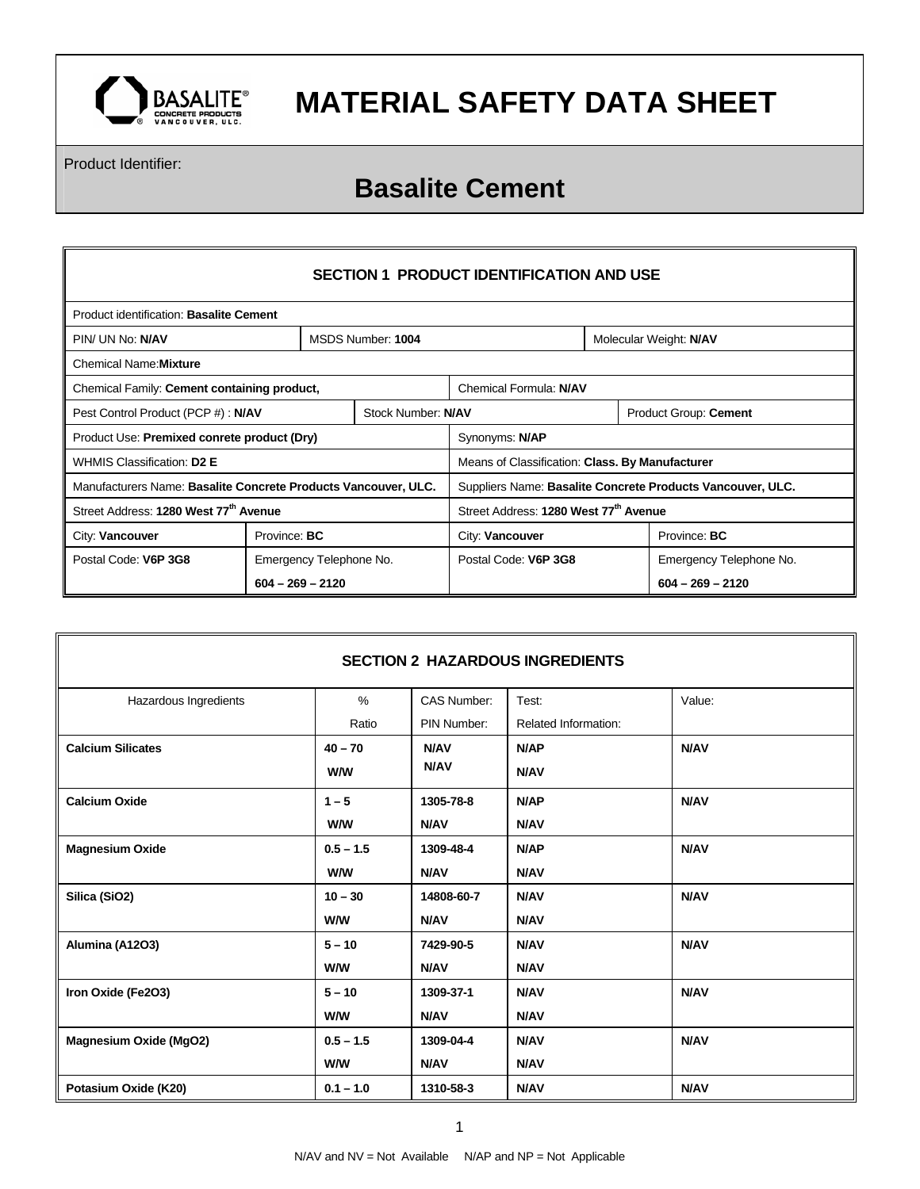

Product Identifier:

## **Basalite Cement**

| <b>SECTION 1 PRODUCT IDENTIFICATION AND USE</b>                |                    |                         |                                                            |                      |                        |                         |
|----------------------------------------------------------------|--------------------|-------------------------|------------------------------------------------------------|----------------------|------------------------|-------------------------|
| Product identification: Basalite Cement                        |                    |                         |                                                            |                      |                        |                         |
| PIN/ UN No: N/AV                                               |                    |                         | MSDS Number: 1004                                          |                      | Molecular Weight: N/AV |                         |
| <b>Chemical Name: Mixture</b>                                  |                    |                         |                                                            |                      |                        |                         |
| Chemical Family: Cement containing product,                    |                    |                         | Chemical Formula: N/AV                                     |                      |                        |                         |
| Stock Number: N/AV<br>Pest Control Product (PCP #) : N/AV      |                    |                         | Product Group: Cement                                      |                      |                        |                         |
| Product Use: Premixed conrete product (Dry)                    |                    |                         | Synonyms: N/AP                                             |                      |                        |                         |
| WHMIS Classification: D2 E                                     |                    |                         | Means of Classification: Class. By Manufacturer            |                      |                        |                         |
| Manufacturers Name: Basalite Concrete Products Vancouver, ULC. |                    |                         | Suppliers Name: Basalite Concrete Products Vancouver, ULC. |                      |                        |                         |
| Street Address: 1280 West 77 <sup>th</sup> Avenue              |                    |                         | Street Address: 1280 West 77th Avenue                      |                      |                        |                         |
| City: Vancouver                                                |                    | Province: <b>BC</b>     |                                                            | City: Vancouver      |                        | Province: <b>BC</b>     |
| Postal Code: V6P 3G8                                           |                    | Emergency Telephone No. |                                                            | Postal Code: V6P 3G8 |                        | Emergency Telephone No. |
|                                                                | $604 - 269 - 2120$ |                         |                                                            |                      | $604 - 269 - 2120$     |                         |

| <b>SECTION 2 HAZARDOUS INGREDIENTS</b> |             |             |                      |             |  |
|----------------------------------------|-------------|-------------|----------------------|-------------|--|
| Hazardous Ingredients                  | $\%$        | CAS Number: | Test:                | Value:      |  |
|                                        | Ratio       | PIN Number: | Related Information: |             |  |
| <b>Calcium Silicates</b>               | $40 - 70$   | N/AV        | N/AP                 | N/AV        |  |
|                                        | W/W         | N/AV        | <b>N/AV</b>          |             |  |
| <b>Calcium Oxide</b>                   | $1 - 5$     | 1305-78-8   | N/AP                 | N/AV        |  |
|                                        | W/W         | <b>N/AV</b> | <b>N/AV</b>          |             |  |
| <b>Magnesium Oxide</b>                 | $0.5 - 1.5$ | 1309-48-4   | N/AP                 | N/AV        |  |
|                                        | <b>W/W</b>  | <b>N/AV</b> | <b>N/AV</b>          |             |  |
| Silica (SiO2)                          | $10 - 30$   | 14808-60-7  | <b>N/AV</b>          | <b>N/AV</b> |  |
|                                        | <b>W/W</b>  | <b>N/AV</b> | N/AV                 |             |  |
| Alumina (A12O3)                        | $5 - 10$    | 7429-90-5   | <b>N/AV</b>          | <b>N/AV</b> |  |
|                                        | <b>W/W</b>  | <b>N/AV</b> | <b>N/AV</b>          |             |  |
| Iron Oxide (Fe2O3)                     | $5 - 10$    | 1309-37-1   | <b>N/AV</b>          | <b>N/AV</b> |  |
|                                        | <b>W/W</b>  | <b>N/AV</b> | <b>N/AV</b>          |             |  |
| <b>Magnesium Oxide (MgO2)</b>          | $0.5 - 1.5$ | 1309-04-4   | <b>N/AV</b>          | <b>N/AV</b> |  |
|                                        | <b>W/W</b>  | <b>N/AV</b> | <b>N/AV</b>          |             |  |
| Potasium Oxide (K20)                   | $0.1 - 1.0$ | 1310-58-3   | <b>N/AV</b>          | N/AV        |  |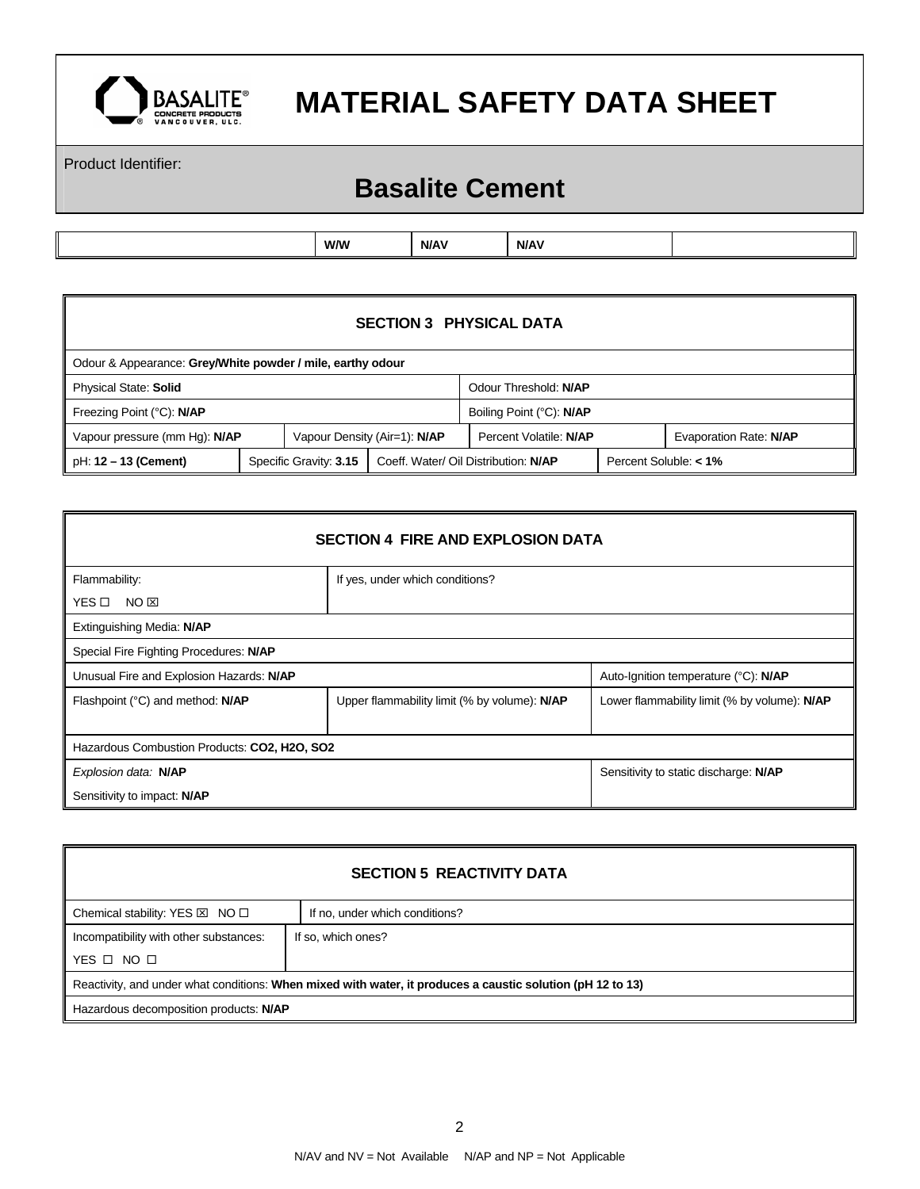

Product Identifier:

## **Basalite Cement**

| N/AV<br>W/W<br>N/AV |  |  |  |
|---------------------|--|--|--|
|                     |  |  |  |

| <b>SECTION 3 PHYSICAL DATA</b>                             |  |                                                                |  |                        |                          |                       |                        |
|------------------------------------------------------------|--|----------------------------------------------------------------|--|------------------------|--------------------------|-----------------------|------------------------|
| Odour & Appearance: Grey/White powder / mile, earthy odour |  |                                                                |  |                        |                          |                       |                        |
| <b>Physical State: Solid</b>                               |  |                                                                |  | Odour Threshold: N/AP  |                          |                       |                        |
| Freezing Point (°C): N/AP                                  |  |                                                                |  |                        | Boiling Point (°C): N/AP |                       |                        |
| Vapour pressure (mm Hg): N/AP                              |  | Vapour Density (Air=1): N/AP                                   |  | Percent Volatile: N/AP |                          |                       | Evaporation Rate: N/AP |
| pH: 12 - 13 (Cement)                                       |  | Specific Gravity: 3.15<br>Coeff. Water/ Oil Distribution: N/AP |  |                        |                          | Percent Soluble: < 1% |                        |

| <b>SECTION 4 FIRE AND EXPLOSION DATA</b>     |                                              |  |  |  |  |  |
|----------------------------------------------|----------------------------------------------|--|--|--|--|--|
| Flammability:                                | If yes, under which conditions?              |  |  |  |  |  |
| YES □<br>NO ⊠                                |                                              |  |  |  |  |  |
| Extinguishing Media: N/AP                    |                                              |  |  |  |  |  |
| Special Fire Fighting Procedures: N/AP       |                                              |  |  |  |  |  |
| Unusual Fire and Explosion Hazards: N/AP     | Auto-Ignition temperature (°C): N/AP         |  |  |  |  |  |
| Flashpoint (°C) and method: N/AP             | Lower flammability limit (% by volume): N/AP |  |  |  |  |  |
| Hazardous Combustion Products: CO2, H2O, SO2 |                                              |  |  |  |  |  |
| Explosion data: N/AP                         | Sensitivity to static discharge: N/AP        |  |  |  |  |  |
| Sensitivity to impact: N/AP                  |                                              |  |  |  |  |  |

| <b>SECTION 5 REACTIVITY DATA</b>                                                                           |                                |  |  |  |
|------------------------------------------------------------------------------------------------------------|--------------------------------|--|--|--|
| Chemical stability: YES $\boxtimes$ NO $\square$                                                           | If no, under which conditions? |  |  |  |
| Incompatibility with other substances:<br>If so, which ones?                                               |                                |  |  |  |
| YES $\Box$ NO $\Box$                                                                                       |                                |  |  |  |
| Reactivity, and under what conditions: When mixed with water, it produces a caustic solution (pH 12 to 13) |                                |  |  |  |
| Hazardous decomposition products: N/AP                                                                     |                                |  |  |  |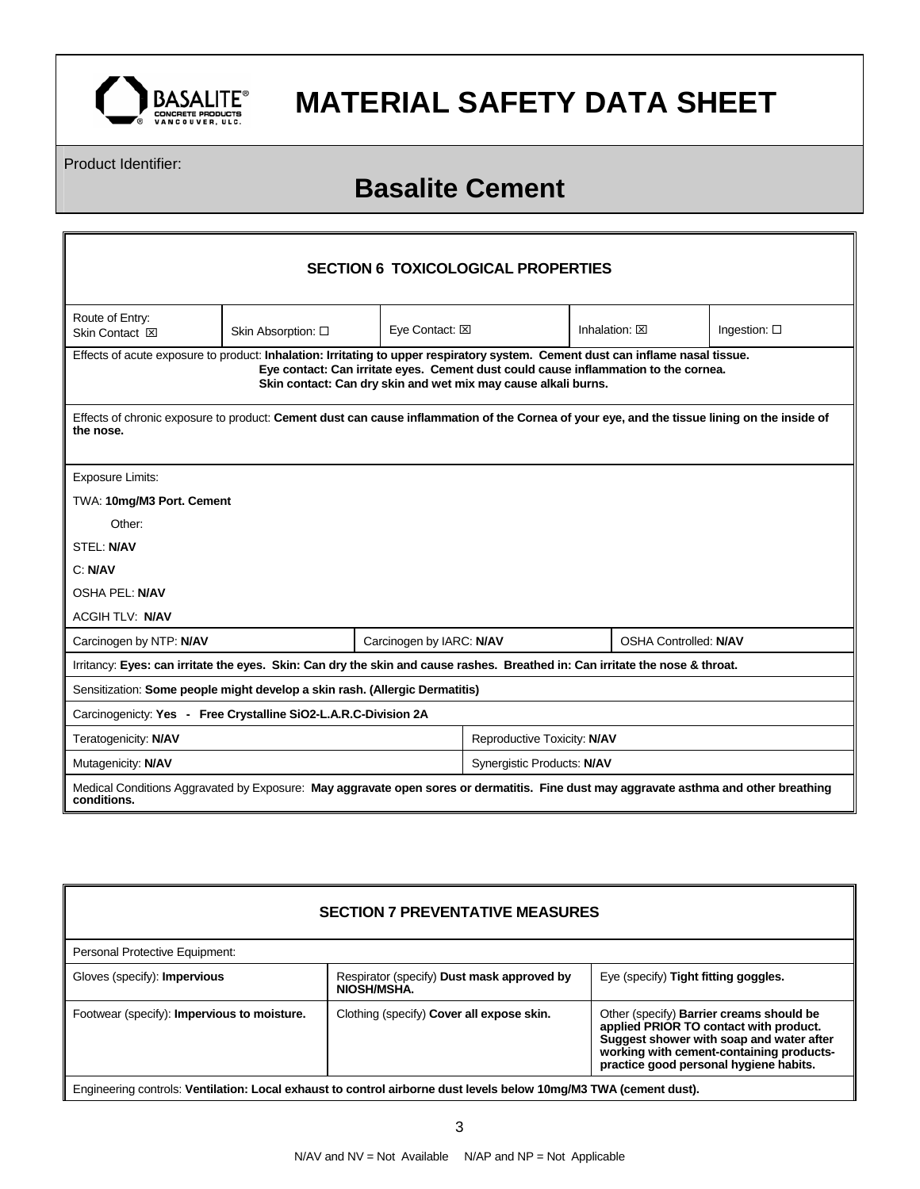

Product Identifier:

## **Basalite Cement**

| <b>SECTION 6 TOXICOLOGICAL PROPERTIES</b>                                                                                                                 |                                                                                                                                                       |  |  |  |  |  |
|-----------------------------------------------------------------------------------------------------------------------------------------------------------|-------------------------------------------------------------------------------------------------------------------------------------------------------|--|--|--|--|--|
| Route of Entry:<br>Skin Contact <b>X</b>                                                                                                                  | Eye Contact: XI<br>Inhalation: $\boxtimes$<br>Ingestion: $\square$<br>Skin Absorption: □                                                              |  |  |  |  |  |
| Effects of acute exposure to product: Inhalation: Irritating to upper respiratory system. Cement dust can inflame nasal tissue.                           | Eye contact: Can irritate eyes. Cement dust could cause inflammation to the cornea.<br>Skin contact: Can dry skin and wet mix may cause alkali burns. |  |  |  |  |  |
| Effects of chronic exposure to product: Cement dust can cause inflammation of the Cornea of your eye, and the tissue lining on the inside of<br>the nose. |                                                                                                                                                       |  |  |  |  |  |
| Exposure Limits:                                                                                                                                          |                                                                                                                                                       |  |  |  |  |  |
| TWA: 10mg/M3 Port. Cement                                                                                                                                 |                                                                                                                                                       |  |  |  |  |  |
| Other:                                                                                                                                                    |                                                                                                                                                       |  |  |  |  |  |
| <b>STEL: N/AV</b>                                                                                                                                         |                                                                                                                                                       |  |  |  |  |  |
| C: N/AV                                                                                                                                                   |                                                                                                                                                       |  |  |  |  |  |
| <b>OSHA PEL: N/AV</b>                                                                                                                                     |                                                                                                                                                       |  |  |  |  |  |
| <b>ACGIH TLV: N/AV</b>                                                                                                                                    |                                                                                                                                                       |  |  |  |  |  |
| Carcinogen by NTP: N/AV                                                                                                                                   | <b>OSHA Controlled: N/AV</b><br>Carcinogen by IARC: N/AV                                                                                              |  |  |  |  |  |
| Irritancy: Eyes: can irritate the eyes. Skin: Can dry the skin and cause rashes. Breathed in: Can irritate the nose & throat.                             |                                                                                                                                                       |  |  |  |  |  |
| Sensitization: Some people might develop a skin rash. (Allergic Dermatitis)                                                                               |                                                                                                                                                       |  |  |  |  |  |
| Carcinogenicty: Yes - Free Crystalline SiO2-L.A.R.C-Division 2A                                                                                           |                                                                                                                                                       |  |  |  |  |  |
| Reproductive Toxicity: N/AV<br>Teratogenicity: N/AV                                                                                                       |                                                                                                                                                       |  |  |  |  |  |
| Mutagenicity: N/AV                                                                                                                                        | Synergistic Products: N/AV                                                                                                                            |  |  |  |  |  |
| Medical Conditions Aggravated by Exposure: May aggravate open sores or dermatitis. Fine dust may aggravate asthma and other breathing<br>conditions.      |                                                                                                                                                       |  |  |  |  |  |

#### **SECTION 7 PREVENTATIVE MEASURES**

| Personal Protective Equipment:              |                                                                                                                   |                                                                                                                                                                                                                             |
|---------------------------------------------|-------------------------------------------------------------------------------------------------------------------|-----------------------------------------------------------------------------------------------------------------------------------------------------------------------------------------------------------------------------|
| Gloves (specify): <b>Impervious</b>         | Respirator (specify) Dust mask approved by<br>NIOSH/MSHA.                                                         | Eye (specify) Tight fitting goggles.                                                                                                                                                                                        |
| Footwear (specify): Impervious to moisture. | Clothing (specify) Cover all expose skin.                                                                         | Other (specify) <b>Barrier creams should be</b><br>applied PRIOR TO contact with product.<br>Suggest shower with soap and water after<br>working with cement-containing products-<br>practice good personal hygiene habits. |
|                                             | Engineering controls: Ventilation: Local exhaust to control airborne dust levels below 10mg/M3 TWA (cement dust). |                                                                                                                                                                                                                             |